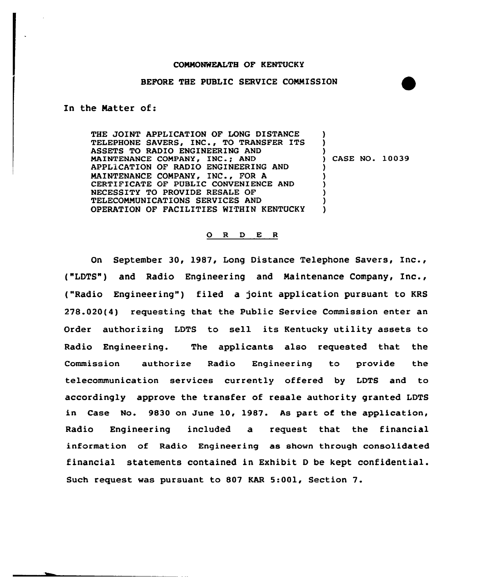# BEFORE THE PUBLIC SERVICE COMMISSION

## In the Matter of:

THE JOINT APPLICATION OF LONG DISTANCE TELEPHONE SAVERS, INC., TO TRANSFER ITS ASSETS TO RADIO ENGINEERING AND MAINTENANCE COMPANY, INC.; AND APPLlCATION OF RADIO ENGINEERING AND MAINTENANCE COMPANY, INC., FOR <sup>A</sup> CERTIFICATE OF PUBLIC CONVENIENCE AND NECESSITY TO PROVIDE RESALE OF TELECOMMUNICATIONS SERVICES AND OPERATION OF FACILITIES WITHIN KENTUCKY ) ) ) ) CASE NO. 10039 ) ) ) ) ) )

#### 0 <sup>R</sup> <sup>D</sup> E <sup>R</sup>

On September 30, 1987, Long Distance Telephone Savers, Inc., ("LDTS") and Radio Engineering and Maintenance Company, Inc., ("Radio Engineering") filed a joint application pursuant to KRS 278.020(4) requesting that the Public Service Commission enter an Order authorizing LDTS to sell its Kentucky utility assets to Radio Engineering. The applicants also requested that the Commission authorize Radio Engineering to provide the telecommunication services currently offered by LOTS and to accordingly approve the transfer of resale authority granted LDTS in Case No. 9830 on June 10, 1987. As part of the application, Radio Engineering included a request that the financial information of Radio Engineering as shown through consolidated financial statements contained in Exhibit <sup>D</sup> be kept confidential. Such request was pursuant to 807 KAR 5:001, Section 7.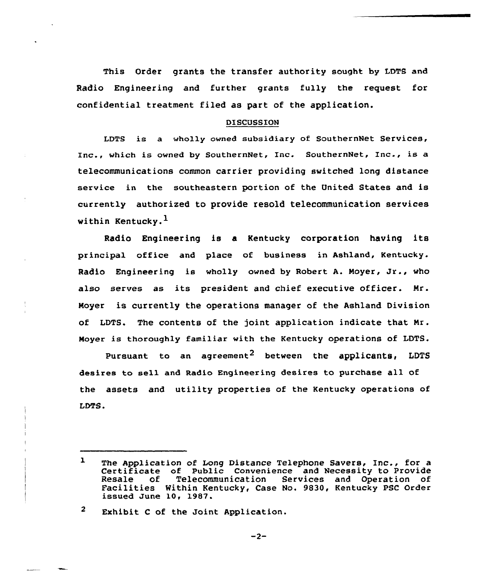This Order grants the transfer authority sought by LDTS and Radio Engineering and further grants fully the request for confidential treatment filed as part of the application.

## DISCUSSION

LDTS is a wholly owned subsidiary of SouthernNet Services, Inc., which is owned by SouthernNet, Inc. SouthernNet, Inc., is a telecommunications common carrier providing switched long distance service in the southeastern portion of the United States and is currently authorized to provide resold telecommunication services within Kentucky. $<sup>1</sup>$ </sup>

Radio Engineering is a Kentucky corporation having its principal office and place of business in Ashland, Kentucky. Radio Engineering is wholly owned by Robert A. Moyer, Jr., who also serves as its president and chief executive officer. Mr. Moyer is currently the operations manager of the Ashland Division of LDTS. The contents of the joint application indicate that Mr. Moyer is thoroughly familiar with the Kentucky operations of LDTS.

Pursuant to an agreement<sup>2</sup> between the applicants, LDTS desires to sell and Radio Engineering desires to purchase all of the assets and utility properties of the Kentucky operations of LDTS.

 $\overline{2}$ Exhibit <sup>C</sup> of the Joint Application.

 $-2-$ 

 $\mathbf{L}$ The Application of Long Distance Telephone Savers, Inc., for a Certificate of Public Convenience and Necessity to Provide<br>Resale of Telecommunication Services and Operation of Facilities Within Kentucky, Case No. 9830, Kentucky PSC Order issued June 10, 1987.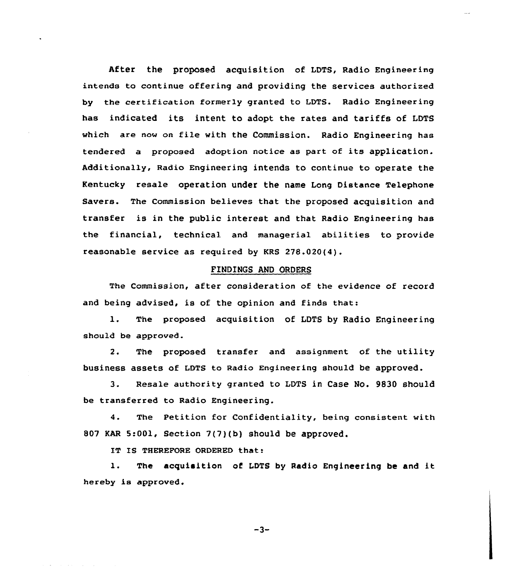After the proposed acquisition of LDTS, Radio Engineering intends to continue offering and providing the services authorized by the certification formerly granted to LDTS. Radio Engineering has indicated its intent to adopt the rates and tariffs of LDTS which are now on file with the Commission. Radio Engineering has tendered a proposed adoption notice as part of its application. Additionally, Radio Engineering intends to continue to operate the Kentucky resale operation under the name Long Distance Telephone Savers. The Commission believes that the proposed acquisition and transfer is in the public interest and that Radio Engineering has the financial, technical and managerial abilities to provide reasonable service as required by KRS 278.020(4).

### FINDINGS AND ORDERS

The Commission, after consideration of the evidence of record and being advised, is of the opinion and finds that:

1. The proposed acquisition of LDTS by Radio Engineering should be approved.

2. The proposed transfer and assignment of the utility business assets of LDTS to Radio Engineering should be approved.

3. Resale authority granted to LDTS in Case No. 9830 should be transferred to Radio Engineering.

4. The Petition for Confidentiality, being consistent with 807 KAR 5:001, Section 7(7)(b) should be approved.

IT IS THEREFORE ORDERED that:

l. The acquisition of LDTS by Radio Engineering be and it hereby is approved.

 $-3-$